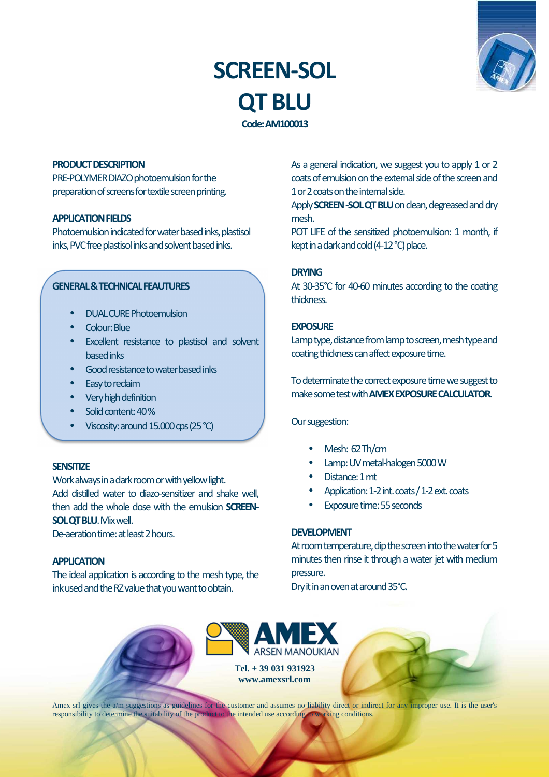# **SCREEN-SOL QT BLU Code: AM100013**



#### **PRODUCT DESCRIPTION**

PRE-POLYMER DIAZO photoemulsion for the preparation of screens for textile screen printing.

# **APPLICATION FIELDS**

ł

Photoemulsion indicated for water based inks, plastisol inks, PVC free plastisol inks and solvent based inks.

## **GENERAL & TECHNICAL FEAUTURES**

- DUAL CURE Photoemulsion
- Colour: Blue
- Excellent resistance to plastisol and solvent based inks
- Good resistance to water based inks
- Easy to reclaim
- Very high definition
- Solid content: 40%
- Viscosity: around 15.000 cps (25 °C)

#### **SENSITIZE**

Work always in a dark room or with yellow light. Add distilled water to diazo-sensitizer and shake well, then add the whole dose with the emulsion **SCREEN-SOL QT BLU**. Mix well.

De-aeration time: at least 2 hours.

# **APPLICATION**

The ideal application is according to the mesh type, the ink used and the RZ value that you want to obtain.

As a general indication, we suggest you to apply 1 or 2 coats of emulsion on the external side of the screen and 1 or 2 coats on the internal side.

Apply **SCREEN -SOL QT BLU** on clean, degreased and dry mesh.

POT LIFE of the sensitized photoemulsion: 1 month, if kept in a dark and cold (4-12 °C) place.

#### **DRYING**

At 30-35°C for 40-60 minutes according to the coating thickness.

#### **EXPOSURE**

Lamp type, distance from lamp to screen, mesh type and coating thickness can affect exposure time.

To determinate the correct exposure time we suggest to make some test with **AMEX EXPOSURE CALCULATOR**.

Our suggestion:

- Mesh: 62 Th/cm
- Lamp: UV metal-halogen 5000 W
- Distance: 1 mt
- Application: 1-2 int. coats / 1-2 ext. coats
- Exposure time: 55 seconds

# **DEVELOPMENT**

At room temperature, dip the screen into the water for 5 minutes then rinse it through a water jet with medium pressure.

Dry it in an oven at around 35°C.



Amex srl gives the a/m suggestions as guidelines for the customer and assumes no liability direct or indirect for any improper use. It is the user's responsibility to determine the suitability of the product to the intended use according to working conditions.